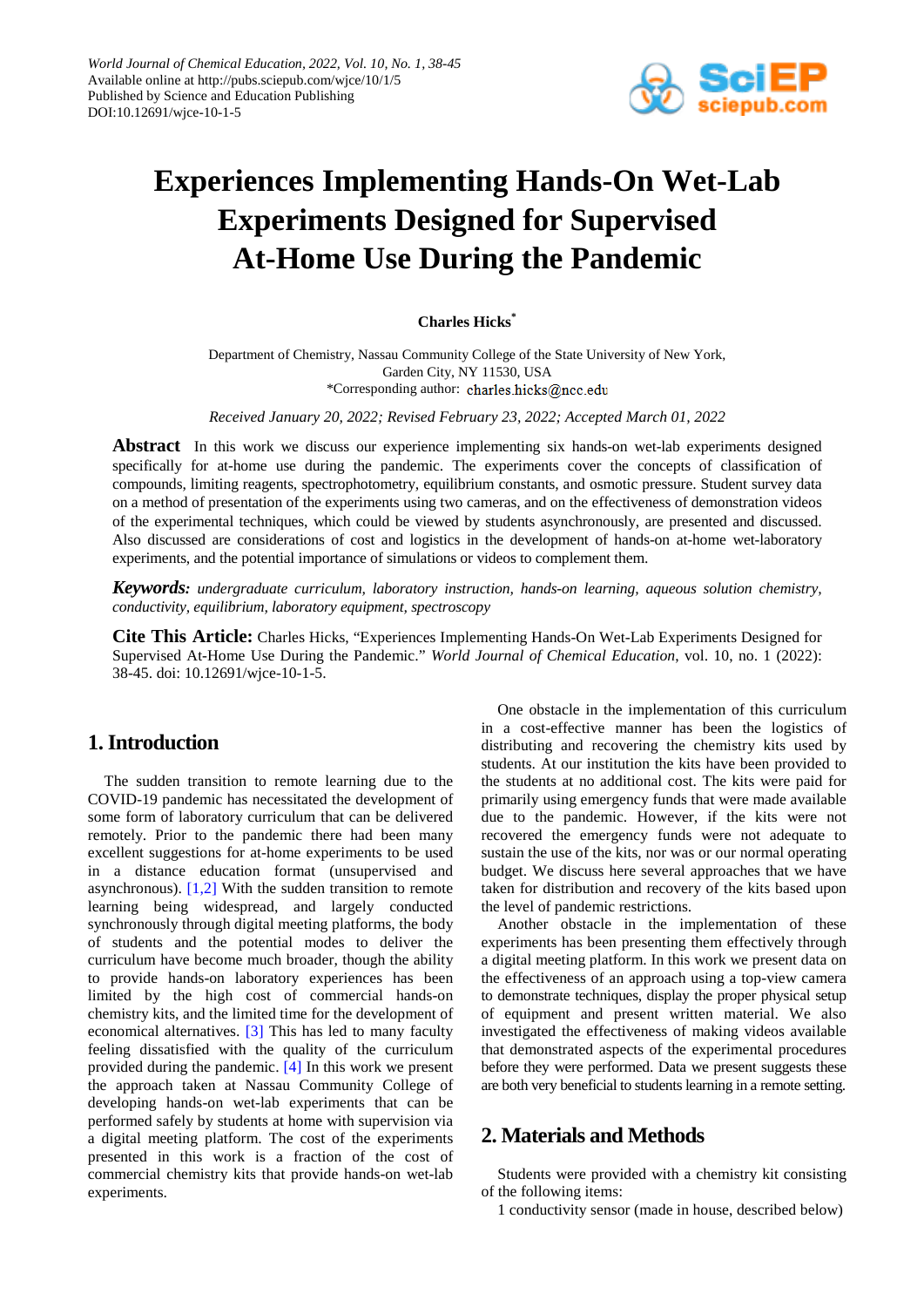

# **Experiences Implementing Hands-On Wet-Lab Experiments Designed for Supervised At-Home Use During the Pandemic**

#### **Charles Hicks\***

Department of Chemistry, Nassau Community College of the State University of New York, Garden City, NY 11530, USA \*Corresponding author:

*Received January 20, 2022; Revised February 23, 2022; Accepted March 01, 2022*

**Abstract** In this work we discuss our experience implementing six hands-on wet-lab experiments designed specifically for at-home use during the pandemic. The experiments cover the concepts of classification of compounds, limiting reagents, spectrophotometry, equilibrium constants, and osmotic pressure. Student survey data on a method of presentation of the experiments using two cameras, and on the effectiveness of demonstration videos of the experimental techniques, which could be viewed by students asynchronously, are presented and discussed. Also discussed are considerations of cost and logistics in the development of hands-on at-home wet-laboratory experiments, and the potential importance of simulations or videos to complement them.

*Keywords: undergraduate curriculum, laboratory instruction, hands-on learning, aqueous solution chemistry, conductivity, equilibrium, laboratory equipment, spectroscopy*

**Cite This Article:** Charles Hicks, "Experiences Implementing Hands-On Wet-Lab Experiments Designed for Supervised At-Home Use During the Pandemic." *World Journal of Chemical Education*, vol. 10, no. 1 (2022): 38-45. doi: 10.12691/wjce-10-1-5.

# **1. Introduction**

The sudden transition to remote learning due to the COVID-19 pandemic has necessitated the development of some form of laboratory curriculum that can be delivered remotely. Prior to the pandemic there had been many excellent suggestions for at-home experiments to be used in a distance education format (unsupervised and asynchronous). [\[1,2\]](#page-6-0) With the sudden transition to remote learning being widespread, and largely conducted synchronously through digital meeting platforms, the body of students and the potential modes to deliver the curriculum have become much broader, though the ability to provide hands-on laboratory experiences has been limited by the high cost of commercial hands-on chemistry kits, and the limited time for the development of economical alternatives. [\[3\]](#page-6-1) This has led to many faculty feeling dissatisfied with the quality of the curriculum provided during the pandemic. [\[4\]](#page-6-2) In this work we present the approach taken at Nassau Community College of developing hands-on wet-lab experiments that can be performed safely by students at home with supervision via a digital meeting platform. The cost of the experiments presented in this work is a fraction of the cost of commercial chemistry kits that provide hands-on wet-lab experiments.

One obstacle in the implementation of this curriculum in a cost-effective manner has been the logistics of distributing and recovering the chemistry kits used by students. At our institution the kits have been provided to the students at no additional cost. The kits were paid for primarily using emergency funds that were made available due to the pandemic. However, if the kits were not recovered the emergency funds were not adequate to sustain the use of the kits, nor was or our normal operating budget. We discuss here several approaches that we have taken for distribution and recovery of the kits based upon the level of pandemic restrictions.

Another obstacle in the implementation of these experiments has been presenting them effectively through a digital meeting platform. In this work we present data on the effectiveness of an approach using a top-view camera to demonstrate techniques, display the proper physical setup of equipment and present written material. We also investigated the effectiveness of making videos available that demonstrated aspects of the experimental procedures before they were performed. Data we present suggests these are both very beneficial to students learning in a remote setting.

# **2. Materials and Methods**

Students were provided with a chemistry kit consisting of the following items:

1 conductivity sensor (made in house, described below)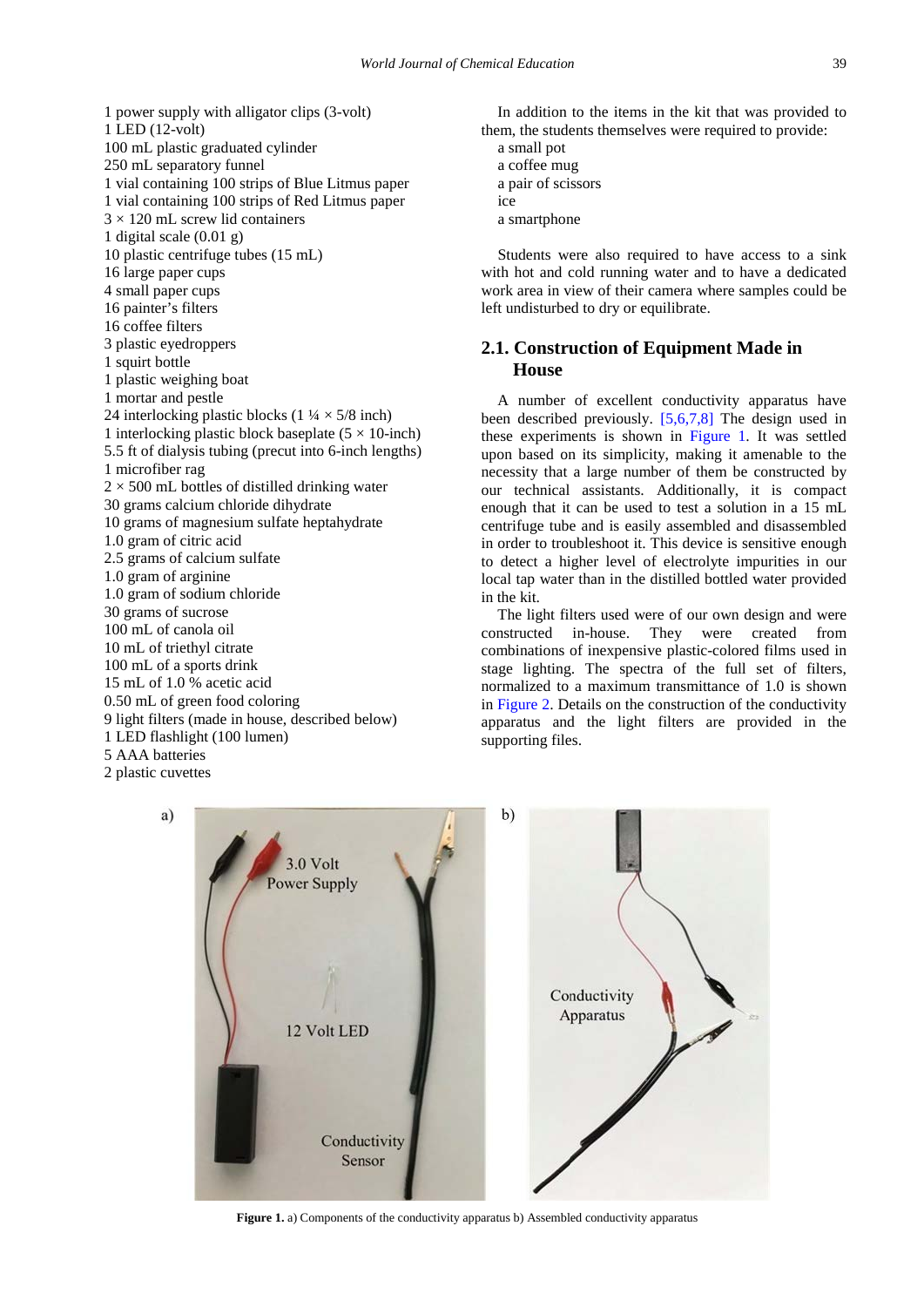1 power supply with alligator clips (3-volt) 1 LED (12-volt) 100 mL plastic graduated cylinder 250 mL separatory funnel 1 vial containing 100 strips of Blue Litmus paper 1 vial containing 100 strips of Red Litmus paper  $3 \times 120$  mL screw lid containers 1 digital scale (0.01 g) 10 plastic centrifuge tubes (15 mL) 16 large paper cups 4 small paper cups 16 painter's filters 16 coffee filters 3 plastic eyedroppers 1 squirt bottle 1 plastic weighing boat 1 mortar and pestle 24 interlocking plastic blocks  $(1\frac{1}{4} \times 5/8)$  inch) 1 interlocking plastic block baseplate  $(5 \times 10$ -inch) 5.5 ft of dialysis tubing (precut into 6-inch lengths) 1 microfiber rag  $2 \times 500$  mL bottles of distilled drinking water 30 grams calcium chloride dihydrate 10 grams of magnesium sulfate heptahydrate 1.0 gram of citric acid 2.5 grams of calcium sulfate 1.0 gram of arginine 1.0 gram of sodium chloride 30 grams of sucrose 100 mL of canola oil 10 mL of triethyl citrate 100 mL of a sports drink 15 mL of 1.0 % acetic acid 0.50 mL of green food coloring 9 light filters (made in house, described below) 1 LED flashlight (100 lumen) 5 AAA batteries 2 plastic cuvettes

In addition to the items in the kit that was provided to them, the students themselves were required to provide: a small pot

a coffee mug a pair of scissors

ice

a smartphone

Students were also required to have access to a sink with hot and cold running water and to have a dedicated work area in view of their camera where samples could be left undisturbed to dry or equilibrate.

## **2.1. Construction of Equipment Made in House**

A number of excellent conductivity apparatus have been described previously. [\[5,6,7,8\]](#page-6-3) The design used in these experiments is shown in [Figure 1.](#page-1-0) It was settled upon based on its simplicity, making it amenable to the necessity that a large number of them be constructed by our technical assistants. Additionally, it is compact enough that it can be used to test a solution in a 15 mL centrifuge tube and is easily assembled and disassembled in order to troubleshoot it. This device is sensitive enough to detect a higher level of electrolyte impurities in our local tap water than in the distilled bottled water provided in the kit.

The light filters used were of our own design and were constructed in-house. They were created from combinations of inexpensive plastic-colored films used in stage lighting. The spectra of the full set of filters, normalized to a maximum transmittance of 1.0 is shown in [Figure 2.](#page-2-0) Details on the construction of the conductivity apparatus and the light filters are provided in the supporting files.

<span id="page-1-0"></span>

Figure 1. a) Components of the conductivity apparatus b) Assembled conductivity apparatus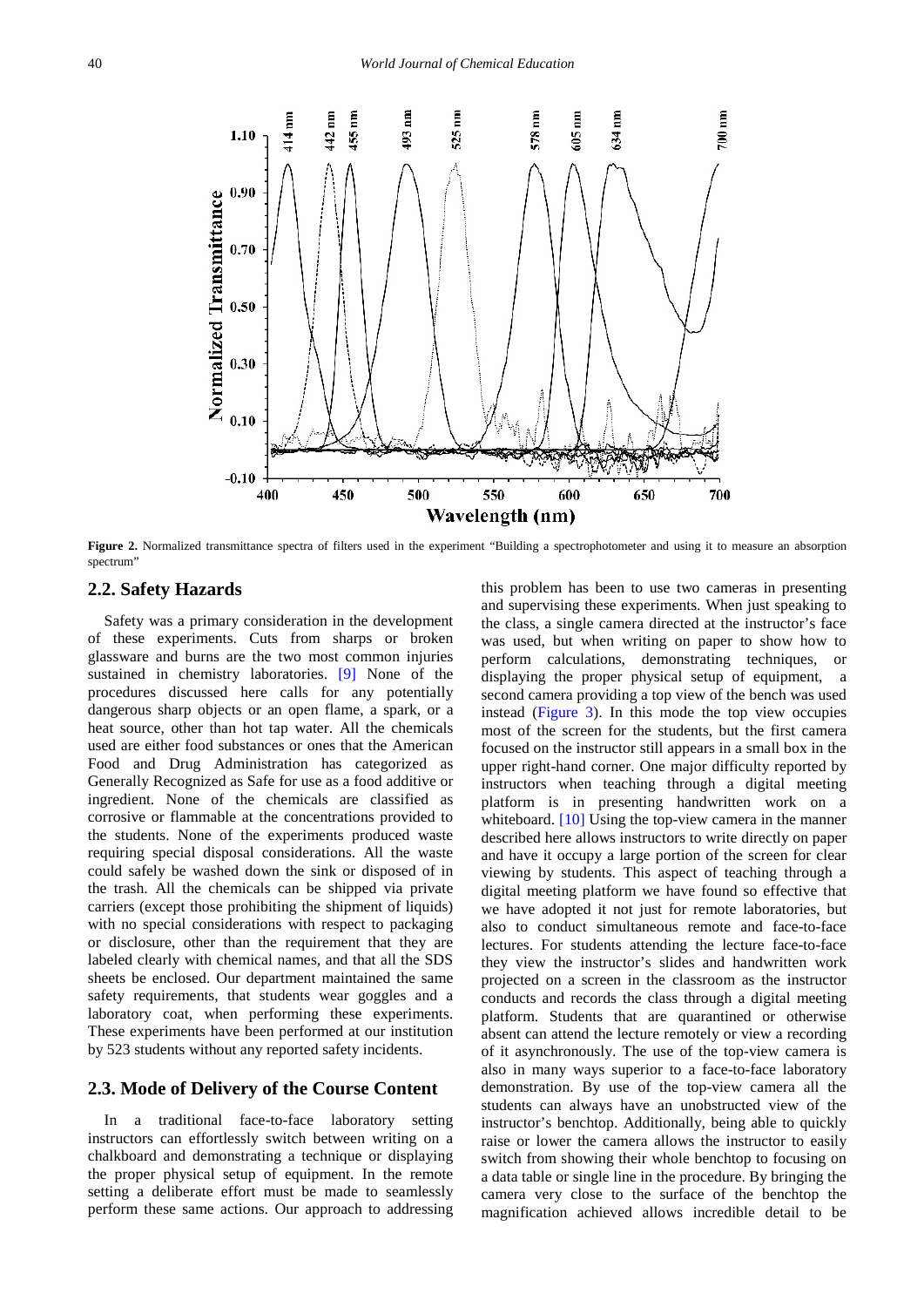<span id="page-2-0"></span>

**Figure 2.** Normalized transmittance spectra of filters used in the experiment "Building a spectrophotometer and using it to measure an absorption spectrum"

#### **2.2. Safety Hazards**

Safety was a primary consideration in the development of these experiments. Cuts from sharps or broken glassware and burns are the two most common injuries sustained in chemistry laboratories. [\[9\]](#page-6-4) None of the procedures discussed here calls for any potentially dangerous sharp objects or an open flame, a spark, or a heat source, other than hot tap water. All the chemicals used are either food substances or ones that the American Food and Drug Administration has categorized as Generally Recognized as Safe for use as a food additive or ingredient. None of the chemicals are classified as corrosive or flammable at the concentrations provided to the students. None of the experiments produced waste requiring special disposal considerations. All the waste could safely be washed down the sink or disposed of in the trash. All the chemicals can be shipped via private carriers (except those prohibiting the shipment of liquids) with no special considerations with respect to packaging or disclosure, other than the requirement that they are labeled clearly with chemical names, and that all the SDS sheets be enclosed. Our department maintained the same safety requirements, that students wear goggles and a laboratory coat, when performing these experiments. These experiments have been performed at our institution by 523 students without any reported safety incidents.

#### **2.3. Mode of Delivery of the Course Content**

In a traditional face-to-face laboratory setting instructors can effortlessly switch between writing on a chalkboard and demonstrating a technique or displaying the proper physical setup of equipment. In the remote setting a deliberate effort must be made to seamlessly perform these same actions. Our approach to addressing

this problem has been to use two cameras in presenting and supervising these experiments. When just speaking to the class, a single camera directed at the instructor's face was used, but when writing on paper to show how to perform calculations, demonstrating techniques, or displaying the proper physical setup of equipment, a second camera providing a top view of the bench was used instead [\(Figure 3\)](#page-3-0). In this mode the top view occupies most of the screen for the students, but the first camera focused on the instructor still appears in a small box in the upper right-hand corner. One major difficulty reported by instructors when teaching through a digital meeting platform is in presenting handwritten work on a whiteboard. [\[10\]](#page-6-5) Using the top-view camera in the manner described here allows instructors to write directly on paper and have it occupy a large portion of the screen for clear viewing by students. This aspect of teaching through a digital meeting platform we have found so effective that we have adopted it not just for remote laboratories, but also to conduct simultaneous remote and face-to-face lectures. For students attending the lecture face-to-face they view the instructor's slides and handwritten work projected on a screen in the classroom as the instructor conducts and records the class through a digital meeting platform. Students that are quarantined or otherwise absent can attend the lecture remotely or view a recording of it asynchronously. The use of the top-view camera is also in many ways superior to a face-to-face laboratory demonstration. By use of the top-view camera all the students can always have an unobstructed view of the instructor's benchtop. Additionally, being able to quickly raise or lower the camera allows the instructor to easily switch from showing their whole benchtop to focusing on a data table or single line in the procedure. By bringing the camera very close to the surface of the benchtop the magnification achieved allows incredible detail to be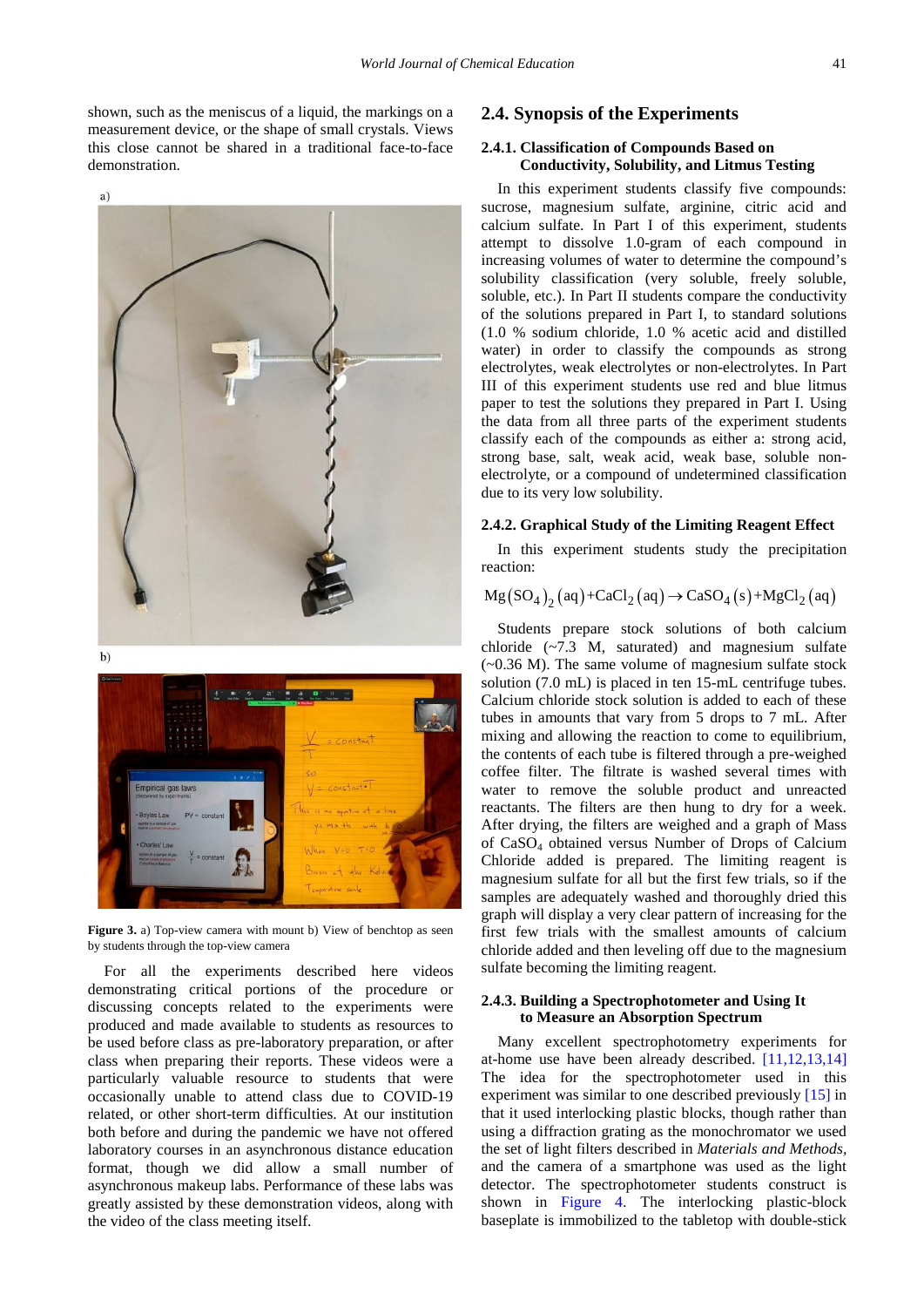shown, such as the meniscus of a liquid, the markings on a measurement device, or the shape of small crystals. Views this close cannot be shared in a traditional face-to-face demonstration.

<span id="page-3-0"></span>



 $b)$ 



**Figure 3.** a) Top-view camera with mount b) View of benchtop as seen by students through the top-view camera

For all the experiments described here videos demonstrating critical portions of the procedure or discussing concepts related to the experiments were produced and made available to students as resources to be used before class as pre-laboratory preparation, or after class when preparing their reports. These videos were a particularly valuable resource to students that were occasionally unable to attend class due to COVID-19 related, or other short-term difficulties. At our institution both before and during the pandemic we have not offered laboratory courses in an asynchronous distance education format, though we did allow a small number of asynchronous makeup labs. Performance of these labs was greatly assisted by these demonstration videos, along with the video of the class meeting itself.

#### **2.4. Synopsis of the Experiments**

#### **2.4.1. Classification of Compounds Based on Conductivity, Solubility, and Litmus Testing**

In this experiment students classify five compounds: sucrose, magnesium sulfate, arginine, citric acid and calcium sulfate. In Part I of this experiment, students attempt to dissolve 1.0-gram of each compound in increasing volumes of water to determine the compound's solubility classification (very soluble, freely soluble, soluble, etc.). In Part II students compare the conductivity of the solutions prepared in Part I, to standard solutions (1.0 % sodium chloride, 1.0 % acetic acid and distilled water) in order to classify the compounds as strong electrolytes, weak electrolytes or non-electrolytes. In Part III of this experiment students use red and blue litmus paper to test the solutions they prepared in Part I. Using the data from all three parts of the experiment students classify each of the compounds as either a: strong acid, strong base, salt, weak acid, weak base, soluble nonelectrolyte, or a compound of undetermined classification due to its very low solubility.

#### **2.4.2. Graphical Study of the Limiting Reagent Effect**

In this experiment students study the precipitation reaction:

$$
Mg(SO_4)_2(aq) + CaCl_2(aq) \rightarrow CaSO_4(s) + MgCl_2(aq)
$$

Students prepare stock solutions of both calcium chloride (~7.3 M, saturated) and magnesium sulfate  $(-0.36 \text{ M})$ . The same volume of magnesium sulfate stock solution (7.0 mL) is placed in ten 15-mL centrifuge tubes. Calcium chloride stock solution is added to each of these tubes in amounts that vary from 5 drops to 7 mL. After mixing and allowing the reaction to come to equilibrium, the contents of each tube is filtered through a pre-weighed coffee filter. The filtrate is washed several times with water to remove the soluble product and unreacted reactants. The filters are then hung to dry for a week. After drying, the filters are weighed and a graph of Mass of CaSO4 obtained versus Number of Drops of Calcium Chloride added is prepared. The limiting reagent is magnesium sulfate for all but the first few trials, so if the samples are adequately washed and thoroughly dried this graph will display a very clear pattern of increasing for the first few trials with the smallest amounts of calcium chloride added and then leveling off due to the magnesium sulfate becoming the limiting reagent.

#### **2.4.3. Building a Spectrophotometer and Using It to Measure an Absorption Spectrum**

Many excellent spectrophotometry experiments for at-home use have been already described.  $[11, 12, 13, 14]$ The idea for the spectrophotometer used in this experiment was similar to one described previously [\[15\]](#page-6-7) in that it used interlocking plastic blocks, though rather than using a diffraction grating as the monochromator we used the set of light filters described in *Materials and Methods,*  and the camera of a smartphone was used as the light detector. The spectrophotometer students construct is shown in [Figure 4.](#page-4-0) The interlocking plastic-block baseplate is immobilized to the tabletop with double-stick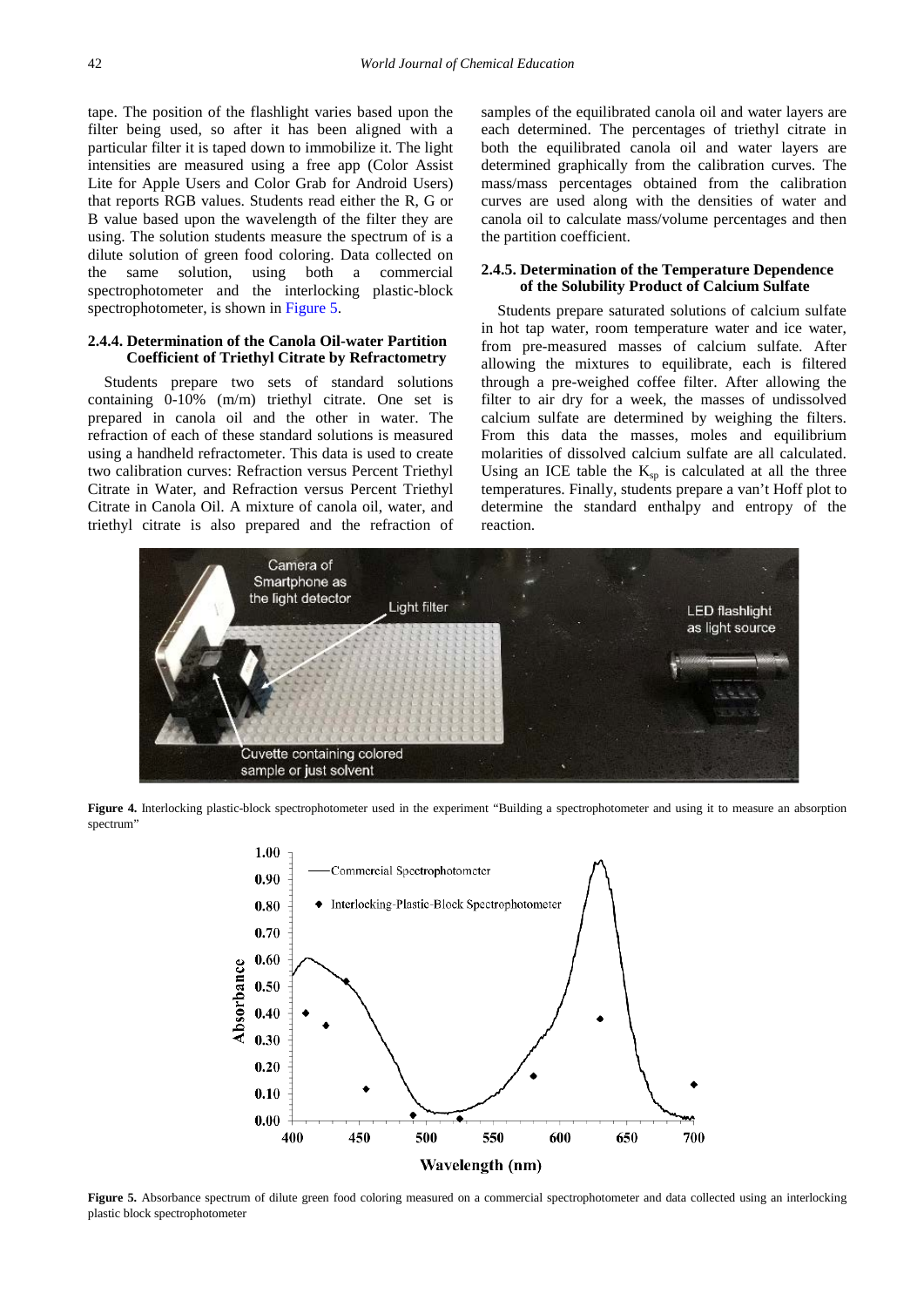tape. The position of the flashlight varies based upon the filter being used, so after it has been aligned with a particular filter it is taped down to immobilize it. The light intensities are measured using a free app (Color Assist Lite for Apple Users and Color Grab for Android Users) that reports RGB values. Students read either the R, G or B value based upon the wavelength of the filter they are using. The solution students measure the spectrum of is a dilute solution of green food coloring. Data collected on the same solution, using both a commercial spectrophotometer and the interlocking plastic-block spectrophotometer, is shown in [Figure 5.](#page-4-1)

#### **2.4.4. Determination of the Canola Oil-water Partition Coefficient of Triethyl Citrate by Refractometry**

Students prepare two sets of standard solutions containing 0-10% (m/m) triethyl citrate. One set is prepared in canola oil and the other in water. The refraction of each of these standard solutions is measured using a handheld refractometer. This data is used to create two calibration curves: Refraction versus Percent Triethyl Citrate in Water, and Refraction versus Percent Triethyl Citrate in Canola Oil. A mixture of canola oil, water, and triethyl citrate is also prepared and the refraction of samples of the equilibrated canola oil and water layers are each determined. The percentages of triethyl citrate in both the equilibrated canola oil and water layers are determined graphically from the calibration curves. The mass/mass percentages obtained from the calibration curves are used along with the densities of water and canola oil to calculate mass/volume percentages and then the partition coefficient.

#### **2.4.5. Determination of the Temperature Dependence of the Solubility Product of Calcium Sulfate**

Students prepare saturated solutions of calcium sulfate in hot tap water, room temperature water and ice water, from pre-measured masses of calcium sulfate. After allowing the mixtures to equilibrate, each is filtered through a pre-weighed coffee filter. After allowing the filter to air dry for a week, the masses of undissolved calcium sulfate are determined by weighing the filters. From this data the masses, moles and equilibrium molarities of dissolved calcium sulfate are all calculated. Using an ICE table the  $K_{\text{sp}}$  is calculated at all the three temperatures. Finally, students prepare a van't Hoff plot to determine the standard enthalpy and entropy of the reaction.

<span id="page-4-0"></span>

<span id="page-4-1"></span>**Figure 4.** Interlocking plastic-block spectrophotometer used in the experiment "Building a spectrophotometer and using it to measure an absorption spectrum"



Figure 5. Absorbance spectrum of dilute green food coloring measured on a commercial spectrophotometer and data collected using an interlocking plastic block spectrophotometer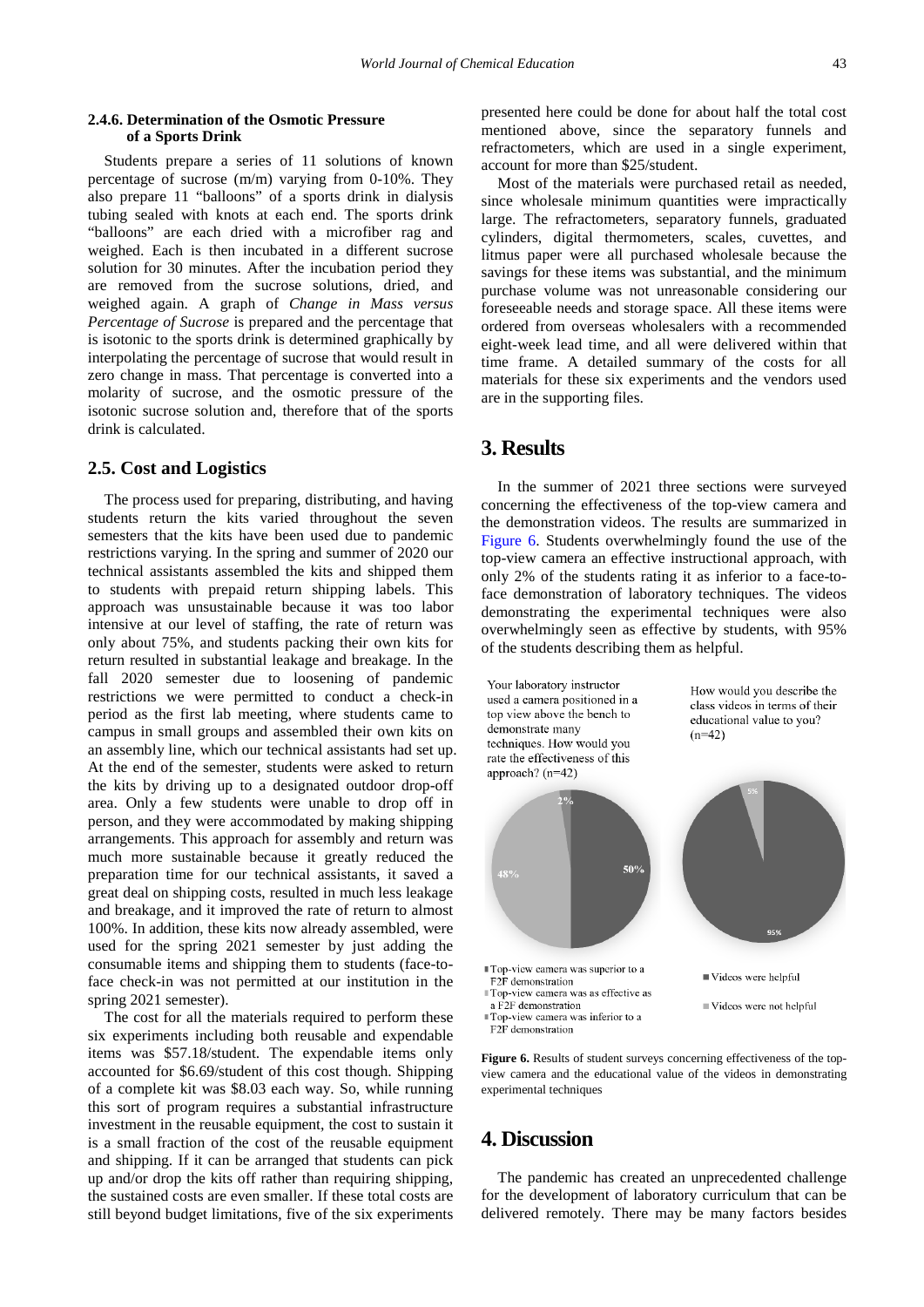#### **2.4.6. Determination of the Osmotic Pressure of a Sports Drink**

Students prepare a series of 11 solutions of known percentage of sucrose (m/m) varying from 0-10%. They also prepare 11 "balloons" of a sports drink in dialysis tubing sealed with knots at each end. The sports drink "balloons" are each dried with a microfiber rag and weighed. Each is then incubated in a different sucrose solution for 30 minutes. After the incubation period they are removed from the sucrose solutions, dried, and weighed again. A graph of *Change in Mass versus Percentage of Sucrose* is prepared and the percentage that is isotonic to the sports drink is determined graphically by interpolating the percentage of sucrose that would result in zero change in mass. That percentage is converted into a molarity of sucrose, and the osmotic pressure of the isotonic sucrose solution and, therefore that of the sports drink is calculated.

#### **2.5. Cost and Logistics**

The process used for preparing, distributing, and having students return the kits varied throughout the seven semesters that the kits have been used due to pandemic restrictions varying. In the spring and summer of 2020 our technical assistants assembled the kits and shipped them to students with prepaid return shipping labels. This approach was unsustainable because it was too labor intensive at our level of staffing, the rate of return was only about 75%, and students packing their own kits for return resulted in substantial leakage and breakage. In the fall 2020 semester due to loosening of pandemic restrictions we were permitted to conduct a check-in period as the first lab meeting, where students came to campus in small groups and assembled their own kits on an assembly line, which our technical assistants had set up. At the end of the semester, students were asked to return the kits by driving up to a designated outdoor drop-off area. Only a few students were unable to drop off in person, and they were accommodated by making shipping arrangements. This approach for assembly and return was much more sustainable because it greatly reduced the preparation time for our technical assistants, it saved a great deal on shipping costs, resulted in much less leakage and breakage, and it improved the rate of return to almost 100%. In addition, these kits now already assembled, were used for the spring 2021 semester by just adding the consumable items and shipping them to students (face-toface check-in was not permitted at our institution in the spring 2021 semester).

The cost for all the materials required to perform these six experiments including both reusable and expendable items was \$57.18/student. The expendable items only accounted for \$6.69/student of this cost though. Shipping of a complete kit was \$8.03 each way. So, while running this sort of program requires a substantial infrastructure investment in the reusable equipment, the cost to sustain it is a small fraction of the cost of the reusable equipment and shipping. If it can be arranged that students can pick up and/or drop the kits off rather than requiring shipping, the sustained costs are even smaller. If these total costs are still beyond budget limitations, five of the six experiments

presented here could be done for about half the total cost mentioned above, since the separatory funnels and refractometers, which are used in a single experiment, account for more than \$25/student.

Most of the materials were purchased retail as needed, since wholesale minimum quantities were impractically large. The refractometers, separatory funnels, graduated cylinders, digital thermometers, scales, cuvettes, and litmus paper were all purchased wholesale because the savings for these items was substantial, and the minimum purchase volume was not unreasonable considering our foreseeable needs and storage space. All these items were ordered from overseas wholesalers with a recommended eight-week lead time, and all were delivered within that time frame. A detailed summary of the costs for all materials for these six experiments and the vendors used are in the supporting files.

### **3. Results**

In the summer of 2021 three sections were surveyed concerning the effectiveness of the top-view camera and the demonstration videos. The results are summarized in [Figure 6.](#page-5-0) Students overwhelmingly found the use of the top-view camera an effective instructional approach, with only 2% of the students rating it as inferior to a face-toface demonstration of laboratory techniques. The videos demonstrating the experimental techniques were also overwhelmingly seen as effective by students, with 95% of the students describing them as helpful.

<span id="page-5-0"></span>

Figure 6. Results of student surveys concerning effectiveness of the topview camera and the educational value of the videos in demonstrating experimental techniques

## **4. Discussion**

The pandemic has created an unprecedented challenge for the development of laboratory curriculum that can be delivered remotely. There may be many factors besides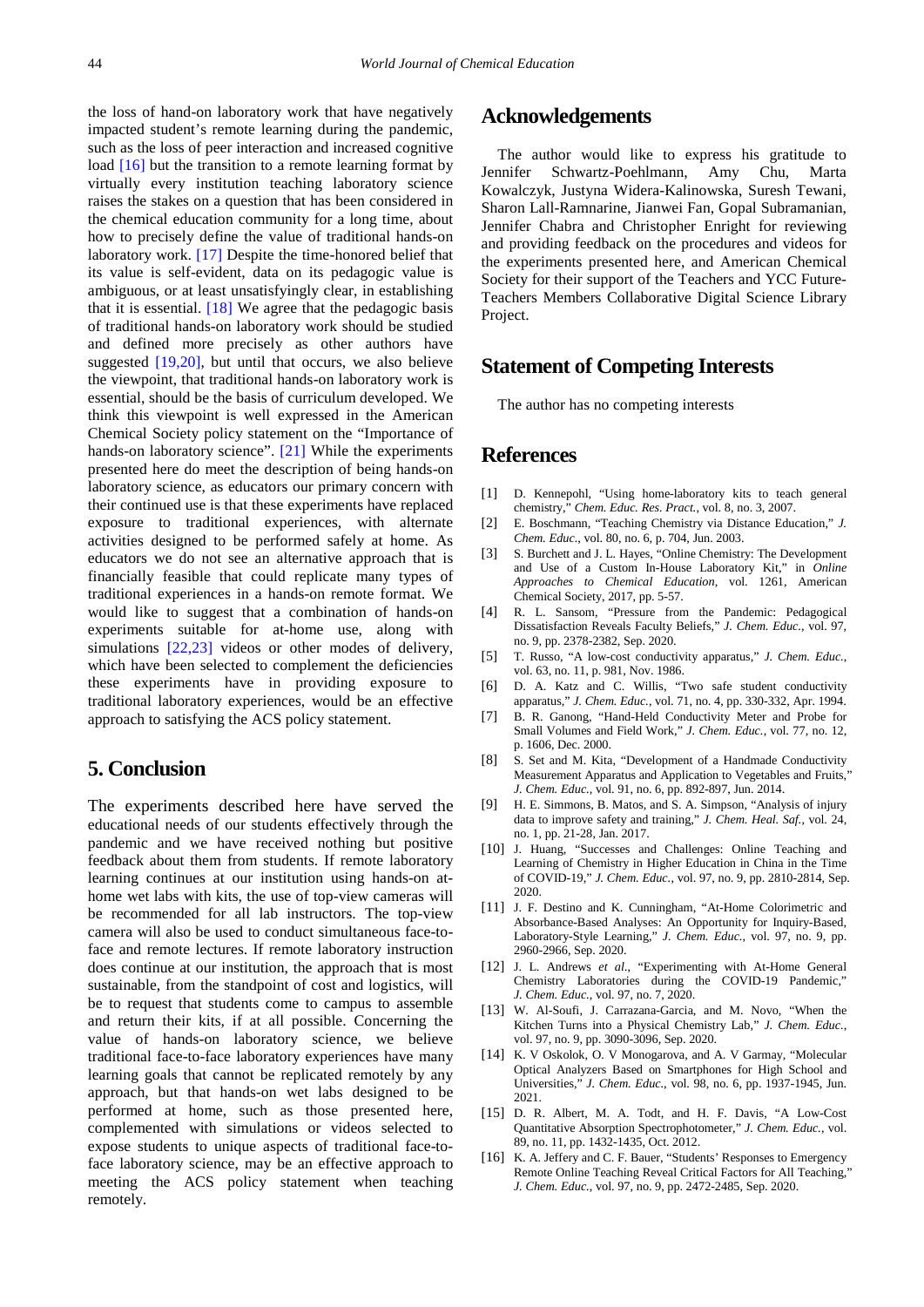the loss of hand-on laboratory work that have negatively impacted student's remote learning during the pandemic, such as the loss of peer interaction and increased cognitive load [\[16\]](#page-6-8) but the transition to a remote learning format by virtually every institution teaching laboratory science raises the stakes on a question that has been considered in the chemical education community for a long time, about how to precisely define the value of traditional hands-on laboratory work. [\[17\]](#page-7-0) Despite the time-honored belief that its value is self-evident, data on its pedagogic value is ambiguous, or at least unsatisfyingly clear, in establishing that it is essential.  $[18]$  We agree that the pedagogic basis of traditional hands-on laboratory work should be studied and defined more precisely as other authors have suggested  $[19,20]$ , but until that occurs, we also believe the viewpoint, that traditional hands-on laboratory work is essential, should be the basis of curriculum developed. We think this viewpoint is well expressed in the American Chemical Society policy statement on the "Importance of hands-on laboratory science". [\[21\]](#page-7-3) While the experiments presented here do meet the description of being hands-on laboratory science, as educators our primary concern with their continued use is that these experiments have replaced exposure to traditional experiences, with alternate activities designed to be performed safely at home. As educators we do not see an alternative approach that is financially feasible that could replicate many types of traditional experiences in a hands-on remote format. We would like to suggest that a combination of hands-on experiments suitable for at-home use, along with simulations [\[22,23\]](#page-7-4) videos or other modes of delivery, which have been selected to complement the deficiencies these experiments have in providing exposure to traditional laboratory experiences, would be an effective approach to satisfying the ACS policy statement.

## **5. Conclusion**

The experiments described here have served the educational needs of our students effectively through the pandemic and we have received nothing but positive feedback about them from students. If remote laboratory learning continues at our institution using hands-on athome wet labs with kits, the use of top-view cameras will be recommended for all lab instructors. The top-view camera will also be used to conduct simultaneous face-toface and remote lectures. If remote laboratory instruction does continue at our institution, the approach that is most sustainable, from the standpoint of cost and logistics, will be to request that students come to campus to assemble and return their kits, if at all possible. Concerning the value of hands-on laboratory science, we believe traditional face-to-face laboratory experiences have many learning goals that cannot be replicated remotely by any approach, but that hands-on wet labs designed to be performed at home, such as those presented here, complemented with simulations or videos selected to expose students to unique aspects of traditional face-toface laboratory science, may be an effective approach to meeting the ACS policy statement when teaching remotely.

# **Acknowledgements**

The author would like to express his gratitude to Jennifer Schwartz-Poehlmann, Amy Chu, Marta Kowalczyk, Justyna Widera-Kalinowska, Suresh Tewani, Sharon Lall-Ramnarine, Jianwei Fan, Gopal Subramanian, Jennifer Chabra and Christopher Enright for reviewing and providing feedback on the procedures and videos for the experiments presented here, and American Chemical Society for their support of the Teachers and YCC Future-Teachers Members Collaborative Digital Science Library Project.

## **Statement of Competing Interests**

The author has no competing interests

# **References**

- <span id="page-6-0"></span>[1] D. Kennepohl, "Using home-laboratory kits to teach general chemistry," *Chem. Educ. Res. Pract.*, vol. 8, no. 3, 2007.
- [2] E. Boschmann, "Teaching Chemistry via Distance Education," *J. Chem. Educ.*, vol. 80, no. 6, p. 704, Jun. 2003.
- <span id="page-6-1"></span>[3] S. Burchett and J. L. Hayes, "Online Chemistry: The Development and Use of a Custom In-House Laboratory Kit," in *Online Approaches to Chemical Education*, vol. 1261, American Chemical Society, 2017, pp. 5-57.
- <span id="page-6-2"></span>[4] R. L. Sansom, "Pressure from the Pandemic: Pedagogical Dissatisfaction Reveals Faculty Beliefs," *J. Chem. Educ.*, vol. 97, no. 9, pp. 2378-2382, Sep. 2020.
- <span id="page-6-3"></span>[5] T. Russo, "A low-cost conductivity apparatus," *J. Chem. Educ.*, vol. 63, no. 11, p. 981, Nov. 1986.
- [6] D. A. Katz and C. Willis, "Two safe student conductivity apparatus," *J. Chem. Educ.*, vol. 71, no. 4, pp. 330-332, Apr. 1994.
- [7] B. R. Ganong, "Hand-Held Conductivity Meter and Probe for Small Volumes and Field Work," *J. Chem. Educ.*, vol. 77, no. 12, p. 1606, Dec. 2000.
- [8] S. Set and M. Kita, "Development of a Handmade Conductivity Measurement Apparatus and Application to Vegetables and Fruits," *J. Chem. Educ.*, vol. 91, no. 6, pp. 892-897, Jun. 2014.
- <span id="page-6-4"></span>[9] H. E. Simmons, B. Matos, and S. A. Simpson, "Analysis of injury data to improve safety and training," *J. Chem. Heal. Saf.*, vol. 24, no. 1, pp. 21-28, Jan. 2017.
- <span id="page-6-5"></span>[10] J. Huang, "Successes and Challenges: Online Teaching and Learning of Chemistry in Higher Education in China in the Time of COVID-19," *J. Chem. Educ.*, vol. 97, no. 9, pp. 2810-2814, Sep. 2020.
- <span id="page-6-6"></span>[11] J. F. Destino and K. Cunningham, "At-Home Colorimetric and Absorbance-Based Analyses: An Opportunity for Inquiry-Based, Laboratory-Style Learning," *J. Chem. Educ.*, vol. 97, no. 9, pp. 2960-2966, Sep. 2020.
- [12] J. L. Andrews *et al.*, "Experimenting with At-Home General Chemistry Laboratories during the COVID-19 Pandemic," *J. Chem. Educ.*, vol. 97, no. 7, 2020.
- [13] W. Al-Soufi, J. Carrazana-Garcia, and M. Novo, "When the Kitchen Turns into a Physical Chemistry Lab," *J. Chem. Educ.*, vol. 97, no. 9, pp. 3090-3096, Sep. 2020.
- [14] K. V Oskolok, O. V Monogarova, and A. V Garmay, "Molecular Optical Analyzers Based on Smartphones for High School and Universities," *J. Chem. Educ.*, vol. 98, no. 6, pp. 1937-1945, Jun. 2021.
- <span id="page-6-7"></span>[15] D. R. Albert, M. A. Todt, and H. F. Davis, "A Low-Cost Quantitative Absorption Spectrophotometer," *J. Chem. Educ.*, vol. 89, no. 11, pp. 1432-1435, Oct. 2012.
- <span id="page-6-8"></span>[16] K. A. Jeffery and C. F. Bauer, "Students' Responses to Emergency Remote Online Teaching Reveal Critical Factors for All Teaching," *J. Chem. Educ.*, vol. 97, no. 9, pp. 2472-2485, Sep. 2020.